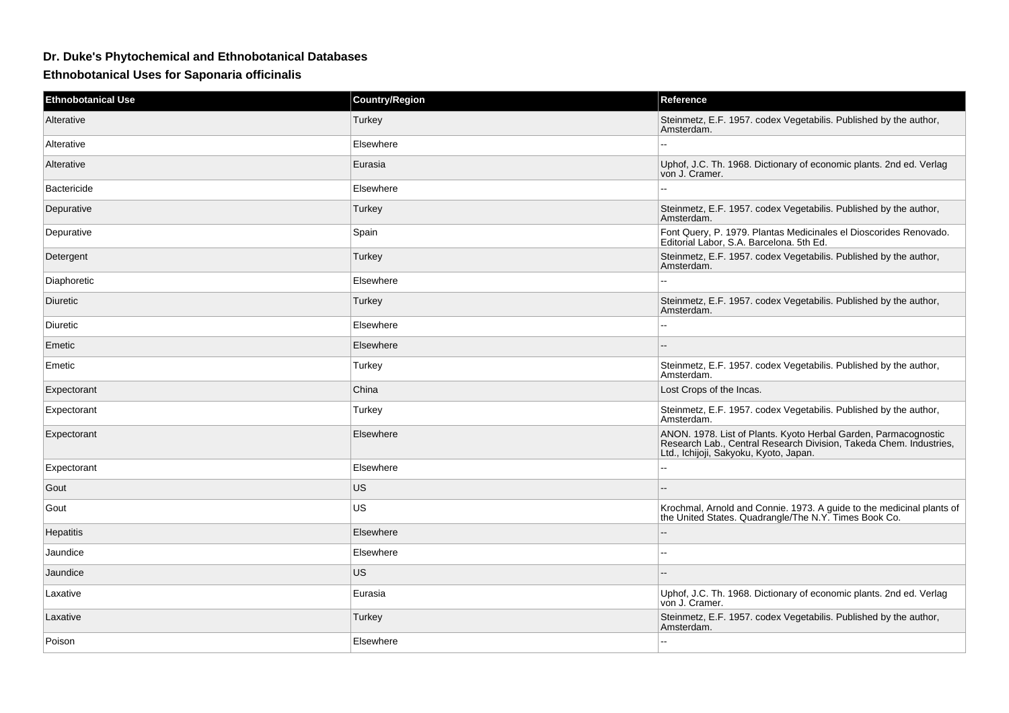## **Dr. Duke's Phytochemical and Ethnobotanical Databases**

**Ethnobotanical Uses for Saponaria officinalis**

| <b>Ethnobotanical Use</b> | <b>Country/Region</b> | Reference                                                                                                                                                                       |
|---------------------------|-----------------------|---------------------------------------------------------------------------------------------------------------------------------------------------------------------------------|
| Alterative                | Turkey                | Steinmetz, E.F. 1957. codex Vegetabilis. Published by the author,<br>Amsterdam.                                                                                                 |
| Alterative                | Elsewhere             |                                                                                                                                                                                 |
| Alterative                | Eurasia               | Uphof, J.C. Th. 1968. Dictionary of economic plants. 2nd ed. Verlag<br>von J. Cramer.                                                                                           |
| <b>Bactericide</b>        | Elsewhere             |                                                                                                                                                                                 |
| Depurative                | Turkey                | Steinmetz, E.F. 1957. codex Vegetabilis. Published by the author,<br>Amsterdam.                                                                                                 |
| Depurative                | Spain                 | Font Query, P. 1979. Plantas Medicinales el Dioscorides Renovado.<br>Editorial Labor, S.A. Barcelona. 5th Ed.                                                                   |
| Detergent                 | Turkey                | Steinmetz, E.F. 1957. codex Vegetabilis. Published by the author,<br>Amsterdam.                                                                                                 |
| Diaphoretic               | Elsewhere             |                                                                                                                                                                                 |
| <b>Diuretic</b>           | Turkey                | Steinmetz, E.F. 1957. codex Vegetabilis. Published by the author,<br>Amsterdam.                                                                                                 |
| Diuretic                  | Elsewhere             | $\overline{a}$                                                                                                                                                                  |
| Emetic                    | Elsewhere             |                                                                                                                                                                                 |
| Emetic                    | Turkey                | Steinmetz, E.F. 1957. codex Vegetabilis. Published by the author,<br>Amsterdam.                                                                                                 |
| Expectorant               | China                 | Lost Crops of the Incas.                                                                                                                                                        |
| Expectorant               | Turkey                | Steinmetz, E.F. 1957. codex Vegetabilis. Published by the author,<br>Amsterdam.                                                                                                 |
| Expectorant               | Elsewhere             | ANON. 1978. List of Plants. Kyoto Herbal Garden, Parmacognostic<br>Research Lab., Central Research Division, Takeda Chem. Industries,<br>Ltd., Ichijoji, Sakyoku, Kyoto, Japan. |
| Expectorant               | Elsewhere             | $\overline{\phantom{a}}$                                                                                                                                                        |
| Gout                      | <b>US</b>             |                                                                                                                                                                                 |
| Gout                      | US                    | Krochmal, Arnold and Connie. 1973. A guide to the medicinal plants of the United States. Quadrangle/The N.Y. Times Book Co.                                                     |
| <b>Hepatitis</b>          | Elsewhere             |                                                                                                                                                                                 |
| Jaundice                  | Elsewhere             | ۵.                                                                                                                                                                              |
| Jaundice                  | <b>US</b>             | $\sim$                                                                                                                                                                          |
| Laxative                  | Eurasia               | Uphof, J.C. Th. 1968. Dictionary of economic plants. 2nd ed. Verlag<br>von J. Cramer.                                                                                           |
| Laxative                  | Turkey                | Steinmetz, E.F. 1957. codex Vegetabilis. Published by the author,<br>Amsterdam.                                                                                                 |
| Poison                    | Elsewhere             | $\overline{a}$                                                                                                                                                                  |